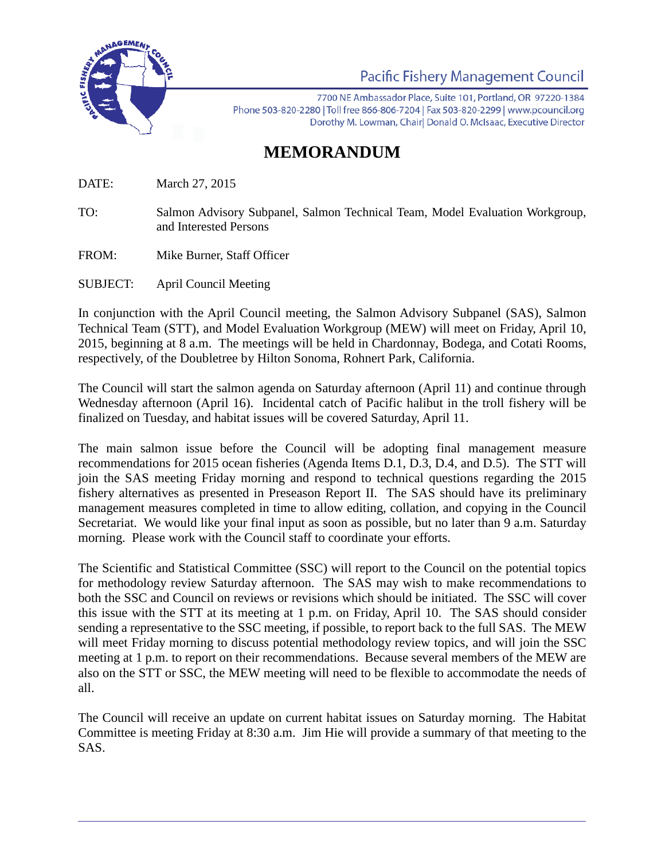

Pacific Fishery Management Council

7700 NE Ambassador Place, Suite 101, Portland, OR 97220-1384 Phone 503-820-2280 | Toll free 866-806-7204 | Fax 503-820-2299 | www.pcouncil.org Dorothy M. Lowman, Chair| Donald O. McIsaac, Executive Director

## **MEMORANDUM**

DATE: March 27, 2015

- TO: Salmon Advisory Subpanel, Salmon Technical Team, Model Evaluation Workgroup, and Interested Persons
- FROM: Mike Burner, Staff Officer
- SUBJECT: April Council Meeting

In conjunction with the April Council meeting, the Salmon Advisory Subpanel (SAS), Salmon Technical Team (STT), and Model Evaluation Workgroup (MEW) will meet on Friday, April 10, 2015, beginning at 8 a.m. The meetings will be held in Chardonnay, Bodega, and Cotati Rooms, respectively, of the Doubletree by Hilton Sonoma, Rohnert Park, California.

The Council will start the salmon agenda on Saturday afternoon (April 11) and continue through Wednesday afternoon (April 16). Incidental catch of Pacific halibut in the troll fishery will be finalized on Tuesday, and habitat issues will be covered Saturday, April 11.

The main salmon issue before the Council will be adopting final management measure recommendations for 2015 ocean fisheries (Agenda Items D.1, D.3, D.4, and D.5). The STT will join the SAS meeting Friday morning and respond to technical questions regarding the 2015 fishery alternatives as presented in Preseason Report II. The SAS should have its preliminary management measures completed in time to allow editing, collation, and copying in the Council Secretariat. We would like your final input as soon as possible, but no later than 9 a.m. Saturday morning. Please work with the Council staff to coordinate your efforts.

The Scientific and Statistical Committee (SSC) will report to the Council on the potential topics for methodology review Saturday afternoon. The SAS may wish to make recommendations to both the SSC and Council on reviews or revisions which should be initiated. The SSC will cover this issue with the STT at its meeting at 1 p.m. on Friday, April 10. The SAS should consider sending a representative to the SSC meeting, if possible, to report back to the full SAS. The MEW will meet Friday morning to discuss potential methodology review topics, and will join the SSC meeting at 1 p.m. to report on their recommendations. Because several members of the MEW are also on the STT or SSC, the MEW meeting will need to be flexible to accommodate the needs of all.

The Council will receive an update on current habitat issues on Saturday morning. The Habitat Committee is meeting Friday at 8:30 a.m. Jim Hie will provide a summary of that meeting to the SAS.